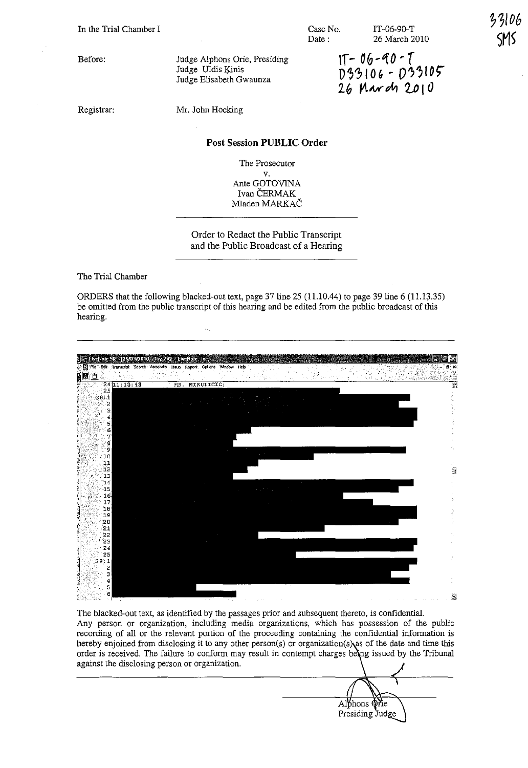In the Trial Chamber I

Before:

Judge Alphons Orie, Presiding Judge Uldis Kinis Judge Elisabeth Gwaunza

Case No. Date:

IT-06-90-T 26 March 2010 33106

 $1T - 06 - 90 - T$ D33106 - D33105 26 March 2010

Registrar:

Mr. John Hocking

## **Post** Session **PUBLIC Order**

The Prosecutor

v. Ante GOTOVINA Ivan ČERMAK Mladen MARKAC

Order to Redact the Public Transcript and the Public Broadcast of a Hearing

The Trial Chamber

ORDERS that the following blacked-out text, page 37 line  $25$  (11.10.44) to page 39 line 6 (11.13.35) be omitted from the public transcript of this hearing and be edited from the public broadcast of this hearing.



The blacked-out text, as identified by the passages prior and subsequent thereto, is confidential. **Any person or organization, including media organizations, which has possession of the public recording of all or the relevant portion of the proceeding containing the confidential information is**  hereby enjoined from disclosing it to any other person(s) or organization(s) as of the date and time this order is received. The failure to conform may result in contempt charges being issued by the Tribunal **against the disclosing person or organization.** 

Alphons Orie Presiding Judge